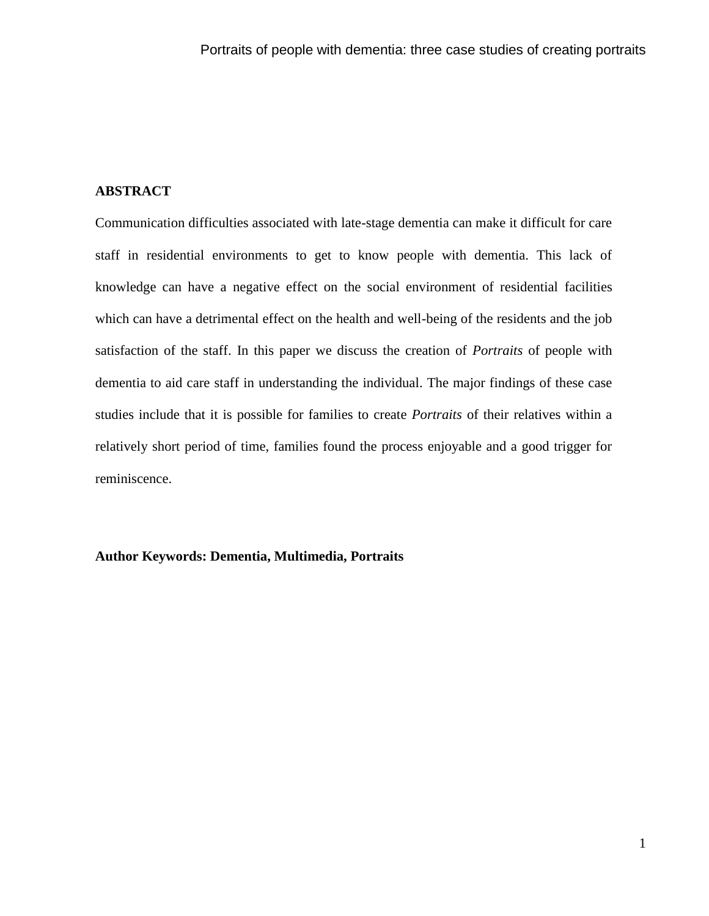# **ABSTRACT**

Communication difficulties associated with late-stage dementia can make it difficult for care staff in residential environments to get to know people with dementia. This lack of knowledge can have a negative effect on the social environment of residential facilities which can have a detrimental effect on the health and well-being of the residents and the job satisfaction of the staff. In this paper we discuss the creation of *Portraits* of people with dementia to aid care staff in understanding the individual. The major findings of these case studies include that it is possible for families to create *Portraits* of their relatives within a relatively short period of time, families found the process enjoyable and a good trigger for reminiscence.

# **Author Keywords: Dementia, Multimedia, Portraits**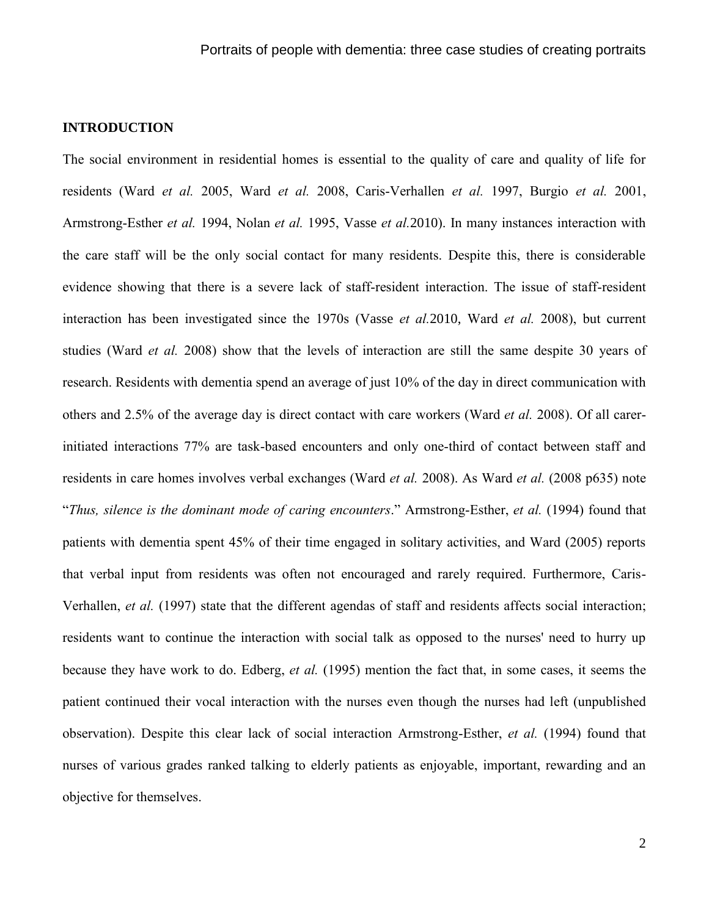# **INTRODUCTION**

The social environment in residential homes is essential to the quality of care and quality of life for residents (Ward *et al.* 2005, Ward *et al.* 2008, Caris-Verhallen *et al.* 1997, Burgio *et al.* 2001, Armstrong-Esther *et al.* 1994, Nolan *et al.* 1995, Vasse *et al.*2010). In many instances interaction with the care staff will be the only social contact for many residents. Despite this, there is considerable evidence showing that there is a severe lack of staff-resident interaction. The issue of staff-resident interaction has been investigated since the 1970s (Vasse *et al.*2010, Ward *et al.* 2008), but current studies (Ward *et al.* 2008) show that the levels of interaction are still the same despite 30 years of research. Residents with dementia spend an average of just 10% of the day in direct communication with others and 2.5% of the average day is direct contact with care workers (Ward *et al.* 2008). Of all carerinitiated interactions 77% are task-based encounters and only one-third of contact between staff and residents in care homes involves verbal exchanges (Ward *et al.* 2008). As Ward *et al.* (2008 p635) note "*Thus, silence is the dominant mode of caring encounters*." Armstrong-Esther, *et al.* (1994) found that patients with dementia spent 45% of their time engaged in solitary activities, and Ward (2005) reports that verbal input from residents was often not encouraged and rarely required. Furthermore, Caris-Verhallen, *et al.* (1997) state that the different agendas of staff and residents affects social interaction; residents want to continue the interaction with social talk as opposed to the nurses' need to hurry up because they have work to do. Edberg, *et al.* (1995) mention the fact that, in some cases, it seems the patient continued their vocal interaction with the nurses even though the nurses had left (unpublished observation). Despite this clear lack of social interaction Armstrong-Esther, *et al.* (1994) found that nurses of various grades ranked talking to elderly patients as enjoyable, important, rewarding and an objective for themselves.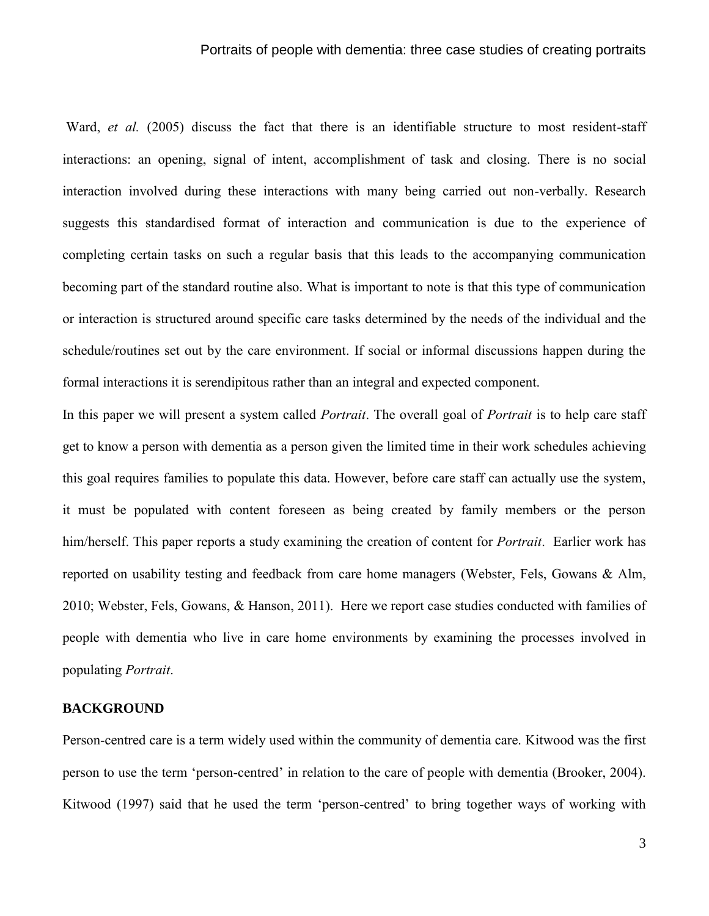### Portraits of people with dementia: three case studies of creating portraits

Ward, *et al.* (2005) discuss the fact that there is an identifiable structure to most resident-staff interactions: an opening, signal of intent, accomplishment of task and closing. There is no social interaction involved during these interactions with many being carried out non-verbally. Research suggests this standardised format of interaction and communication is due to the experience of completing certain tasks on such a regular basis that this leads to the accompanying communication becoming part of the standard routine also. What is important to note is that this type of communication or interaction is structured around specific care tasks determined by the needs of the individual and the schedule/routines set out by the care environment. If social or informal discussions happen during the formal interactions it is serendipitous rather than an integral and expected component.

In this paper we will present a system called *Portrait*. The overall goal of *Portrait* is to help care staff get to know a person with dementia as a person given the limited time in their work schedules achieving this goal requires families to populate this data. However, before care staff can actually use the system, it must be populated with content foreseen as being created by family members or the person him/herself. This paper reports a study examining the creation of content for *Portrait*. Earlier work has reported on usability testing and feedback from care home managers (Webster, Fels, Gowans & Alm, 2010; Webster, Fels, Gowans, & Hanson, 2011). Here we report case studies conducted with families of people with dementia who live in care home environments by examining the processes involved in populating *Portrait*.

# **BACKGROUND**

Person-centred care is a term widely used within the community of dementia care. Kitwood was the first person to use the term "person-centred" in relation to the care of people with dementia (Brooker, 2004). Kitwood (1997) said that he used the term "person-centred" to bring together ways of working with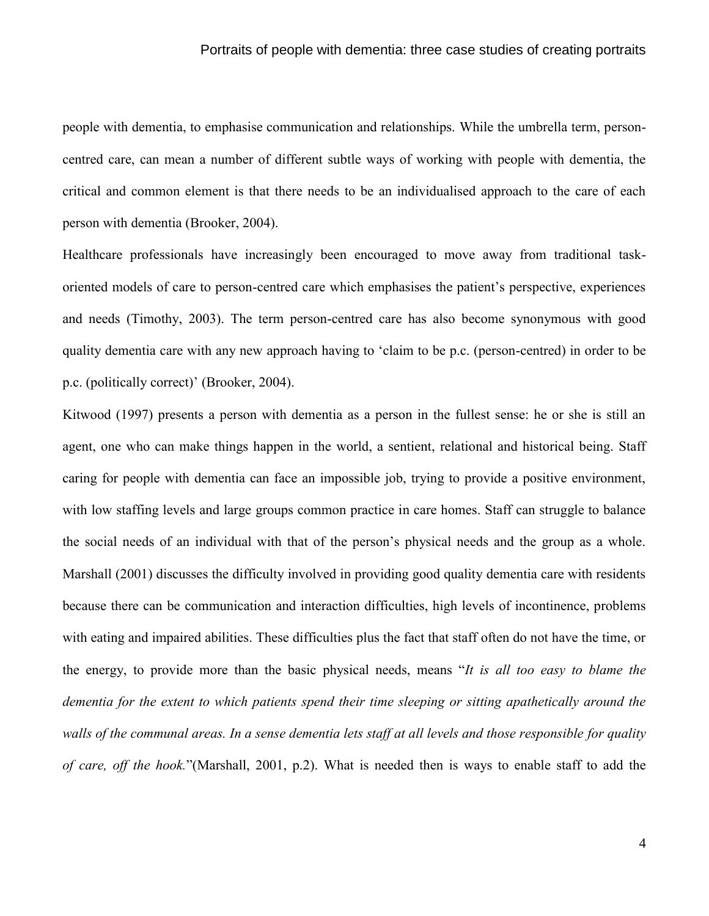### Portraits of people with dementia: three case studies of creating portraits

people with dementia, to emphasise communication and relationships. While the umbrella term, personcentred care, can mean a number of different subtle ways of working with people with dementia, the critical and common element is that there needs to be an individualised approach to the care of each person with dementia (Brooker, 2004).

Healthcare professionals have increasingly been encouraged to move away from traditional taskoriented models of care to person-centred care which emphasises the patient"s perspective, experiences and needs (Timothy, 2003). The term person-centred care has also become synonymous with good quality dementia care with any new approach having to "claim to be p.c. (person-centred) in order to be p.c. (politically correct)' (Brooker, 2004).

Kitwood (1997) presents a person with dementia as a person in the fullest sense: he or she is still an agent, one who can make things happen in the world, a sentient, relational and historical being. Staff caring for people with dementia can face an impossible job, trying to provide a positive environment, with low staffing levels and large groups common practice in care homes. Staff can struggle to balance the social needs of an individual with that of the person"s physical needs and the group as a whole. Marshall (2001) discusses the difficulty involved in providing good quality dementia care with residents because there can be communication and interaction difficulties, high levels of incontinence, problems with eating and impaired abilities. These difficulties plus the fact that staff often do not have the time, or the energy, to provide more than the basic physical needs, means "*It is all too easy to blame the dementia for the extent to which patients spend their time sleeping or sitting apathetically around the walls of the communal areas. In a sense dementia lets staff at all levels and those responsible for quality of care, off the hook.*"(Marshall, 2001, p.2). What is needed then is ways to enable staff to add the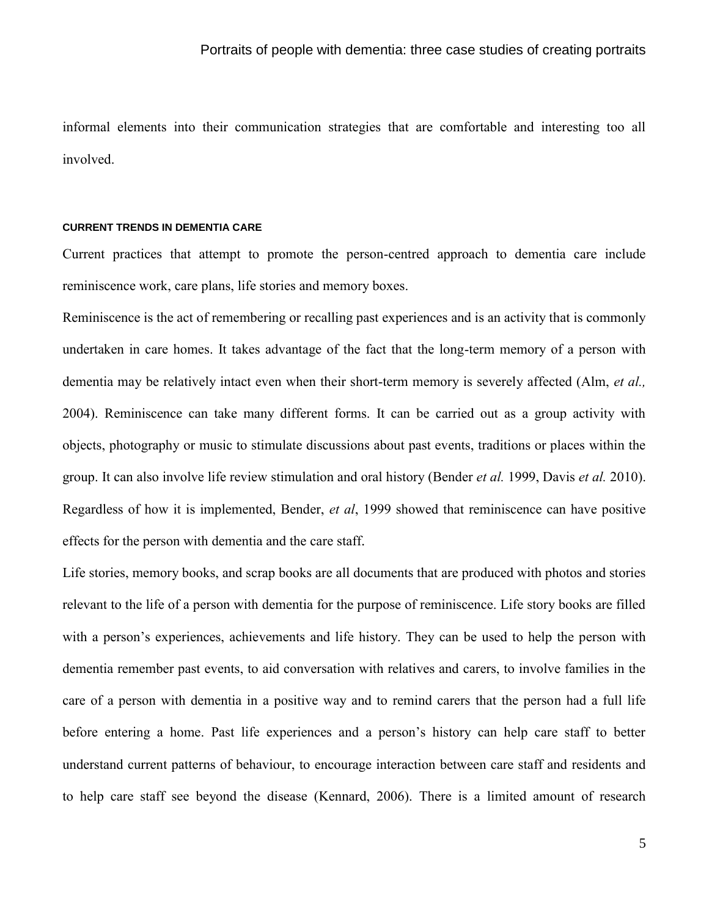informal elements into their communication strategies that are comfortable and interesting too all involved.

### **CURRENT TRENDS IN DEMENTIA CARE**

Current practices that attempt to promote the person-centred approach to dementia care include reminiscence work, care plans, life stories and memory boxes.

Reminiscence is the act of remembering or recalling past experiences and is an activity that is commonly undertaken in care homes. It takes advantage of the fact that the long-term memory of a person with dementia may be relatively intact even when their short-term memory is severely affected (Alm, *et al.,* 2004). Reminiscence can take many different forms. It can be carried out as a group activity with objects, photography or music to stimulate discussions about past events, traditions or places within the group. It can also involve life review stimulation and oral history (Bender *et al.* 1999, Davis *et al.* 2010). Regardless of how it is implemented, Bender, *et al*, 1999 showed that reminiscence can have positive effects for the person with dementia and the care staff.

Life stories, memory books, and scrap books are all documents that are produced with photos and stories relevant to the life of a person with dementia for the purpose of reminiscence. Life story books are filled with a person's experiences, achievements and life history. They can be used to help the person with dementia remember past events, to aid conversation with relatives and carers, to involve families in the care of a person with dementia in a positive way and to remind carers that the person had a full life before entering a home. Past life experiences and a person"s history can help care staff to better understand current patterns of behaviour, to encourage interaction between care staff and residents and to help care staff see beyond the disease (Kennard, 2006). There is a limited amount of research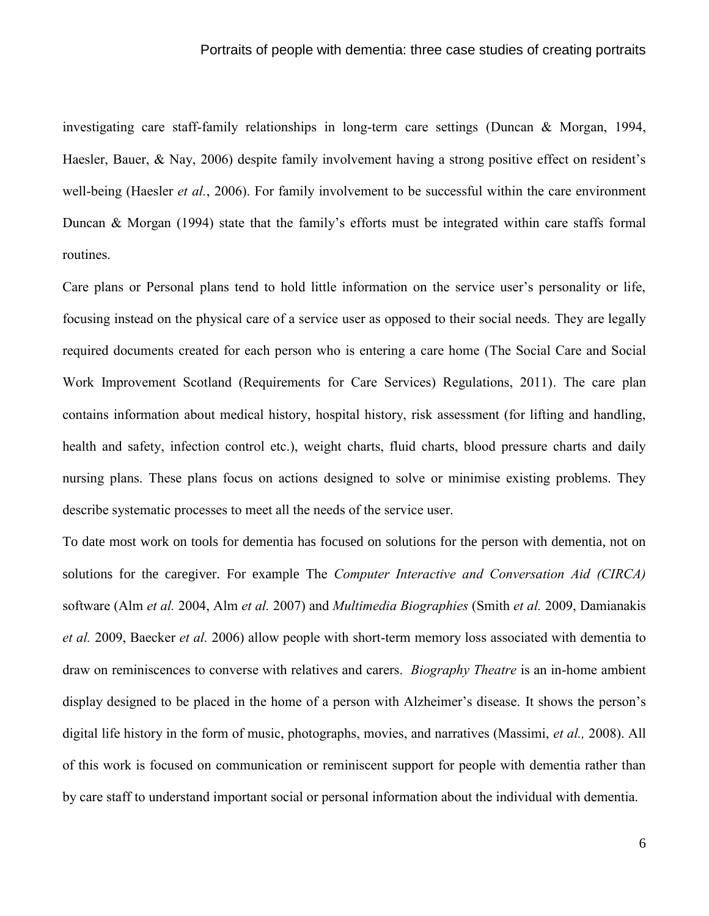investigating care staff-family relationships in long-term care settings (Duncan & Morgan, 1994, Haesler, Bauer, & Nay, 2006) despite family involvement having a strong positive effect on resident's well-being (Haesler *et al.*, 2006). For family involvement to be successful within the care environment Duncan & Morgan (1994) state that the family"s efforts must be integrated within care staffs formal routines.

Care plans or Personal plans tend to hold little information on the service user"s personality or life, focusing instead on the physical care of a service user as opposed to their social needs. They are legally required documents created for each person who is entering a care home (The Social Care and Social Work Improvement Scotland (Requirements for Care Services) Regulations, 2011). The care plan contains information about medical history, hospital history, risk assessment (for lifting and handling, health and safety, infection control etc.), weight charts, fluid charts, blood pressure charts and daily nursing plans. These plans focus on actions designed to solve or minimise existing problems. They describe systematic processes to meet all the needs of the service user.

To date most work on tools for dementia has focused on solutions for the person with dementia, not on solutions for the caregiver. For example The *Computer Interactive and Conversation Aid (CIRCA)*  software (Alm *et al.* 2004, Alm *et al.* 2007) and *Multimedia Biographies* (Smith *et al.* 2009, Damianakis *et al.* 2009, Baecker *et al.* 2006) allow people with short-term memory loss associated with dementia to draw on reminiscences to converse with relatives and carers. *Biography Theatre* is an in-home ambient display designed to be placed in the home of a person with Alzheimer's disease. It shows the person's digital life history in the form of music, photographs, movies, and narratives (Massimi, *et al.,* 2008). All of this work is focused on communication or reminiscent support for people with dementia rather than by care staff to understand important social or personal information about the individual with dementia.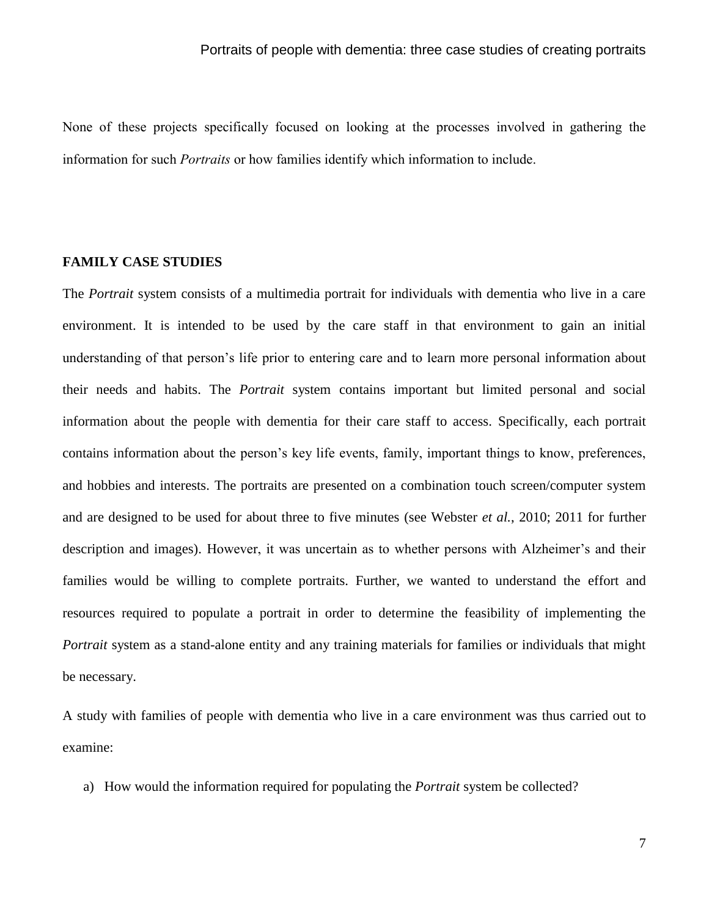None of these projects specifically focused on looking at the processes involved in gathering the information for such *Portraits* or how families identify which information to include.

# **FAMILY CASE STUDIES**

The *Portrait* system consists of a multimedia portrait for individuals with dementia who live in a care environment. It is intended to be used by the care staff in that environment to gain an initial understanding of that person's life prior to entering care and to learn more personal information about their needs and habits. The *Portrait* system contains important but limited personal and social information about the people with dementia for their care staff to access. Specifically, each portrait contains information about the person's key life events, family, important things to know, preferences, and hobbies and interests. The portraits are presented on a combination touch screen/computer system and are designed to be used for about three to five minutes (see Webster *et al.*, 2010; 2011 for further description and images). However, it was uncertain as to whether persons with Alzheimer's and their families would be willing to complete portraits. Further, we wanted to understand the effort and resources required to populate a portrait in order to determine the feasibility of implementing the *Portrait* system as a stand-alone entity and any training materials for families or individuals that might be necessary.

A study with families of people with dementia who live in a care environment was thus carried out to examine:

a) How would the information required for populating the *Portrait* system be collected?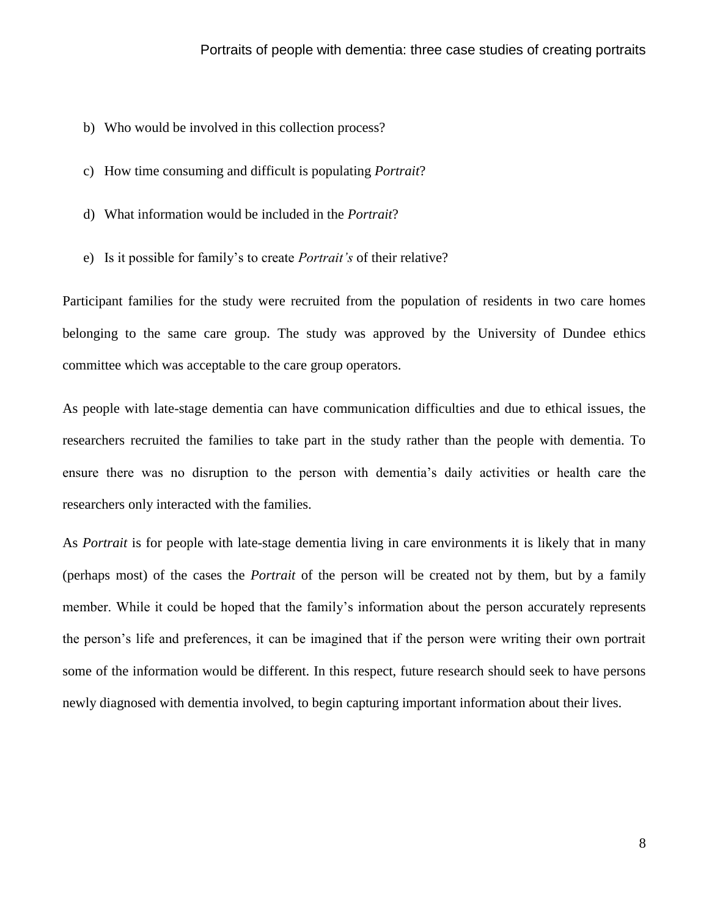- b) Who would be involved in this collection process?
- c) How time consuming and difficult is populating *Portrait*?
- d) What information would be included in the *Portrait*?
- e) Is it possible for family's to create *Portrait's* of their relative?

Participant families for the study were recruited from the population of residents in two care homes belonging to the same care group. The study was approved by the University of Dundee ethics committee which was acceptable to the care group operators.

As people with late-stage dementia can have communication difficulties and due to ethical issues, the researchers recruited the families to take part in the study rather than the people with dementia. To ensure there was no disruption to the person with dementia's daily activities or health care the researchers only interacted with the families.

As *Portrait* is for people with late-stage dementia living in care environments it is likely that in many (perhaps most) of the cases the *Portrait* of the person will be created not by them, but by a family member. While it could be hoped that the family's information about the person accurately represents the person's life and preferences, it can be imagined that if the person were writing their own portrait some of the information would be different. In this respect, future research should seek to have persons newly diagnosed with dementia involved, to begin capturing important information about their lives.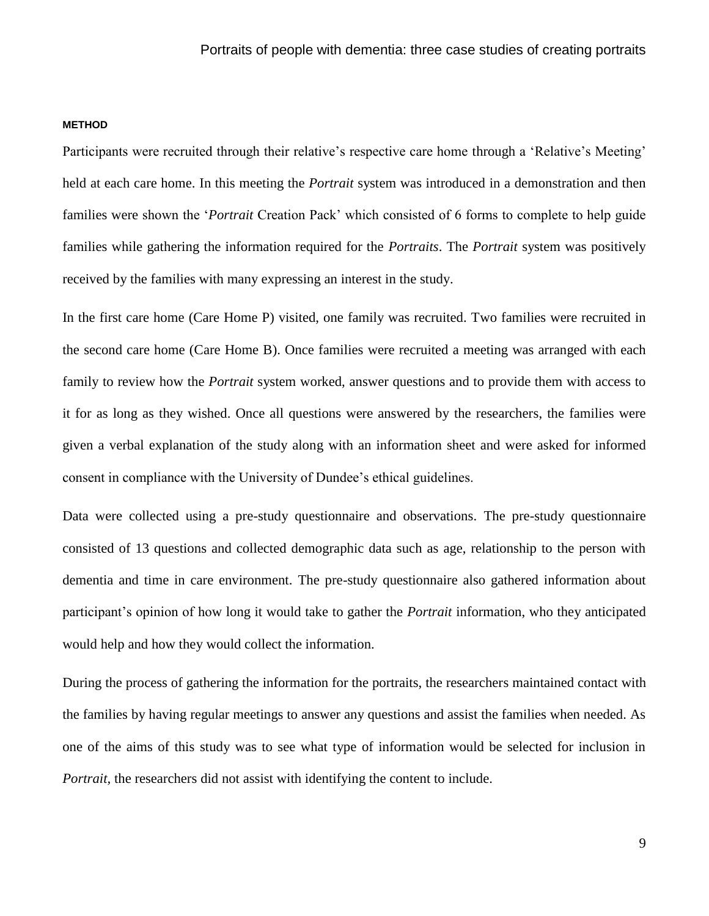#### **METHOD**

Participants were recruited through their relative's respective care home through a 'Relative's Meeting' held at each care home. In this meeting the *Portrait* system was introduced in a demonstration and then families were shown the *Portrait* Creation Pack' which consisted of 6 forms to complete to help guide families while gathering the information required for the *Portraits*. The *Portrait* system was positively received by the families with many expressing an interest in the study.

In the first care home (Care Home P) visited, one family was recruited. Two families were recruited in the second care home (Care Home B). Once families were recruited a meeting was arranged with each family to review how the *Portrait* system worked, answer questions and to provide them with access to it for as long as they wished. Once all questions were answered by the researchers, the families were given a verbal explanation of the study along with an information sheet and were asked for informed consent in compliance with the University of Dundee's ethical guidelines.

Data were collected using a pre-study questionnaire and observations. The pre-study questionnaire consisted of 13 questions and collected demographic data such as age, relationship to the person with dementia and time in care environment. The pre-study questionnaire also gathered information about participant's opinion of how long it would take to gather the *Portrait* information, who they anticipated would help and how they would collect the information.

During the process of gathering the information for the portraits, the researchers maintained contact with the families by having regular meetings to answer any questions and assist the families when needed. As one of the aims of this study was to see what type of information would be selected for inclusion in *Portrait,* the researchers did not assist with identifying the content to include.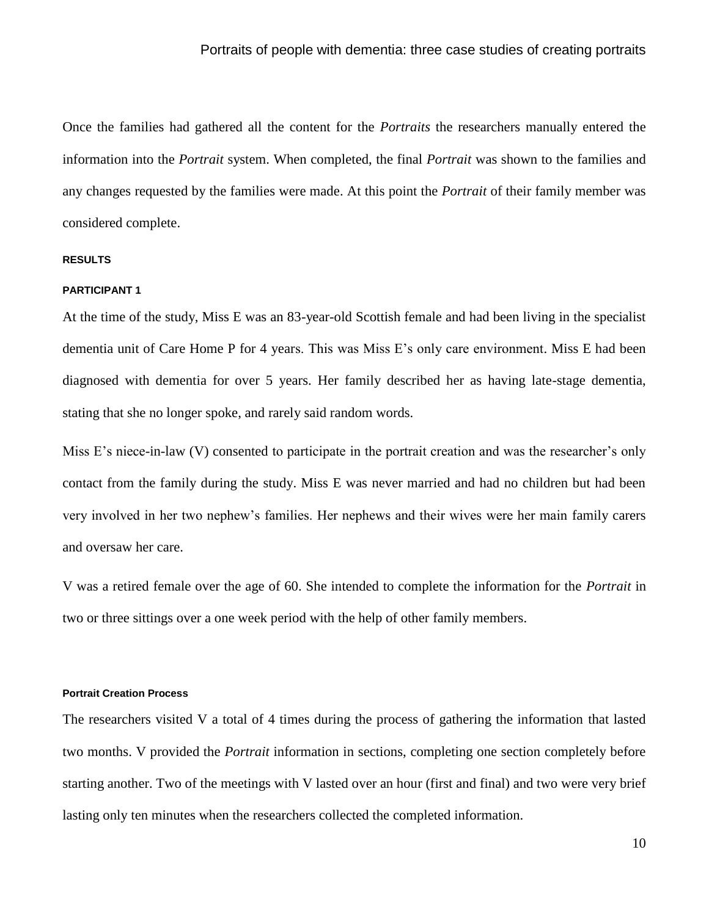Once the families had gathered all the content for the *Portraits* the researchers manually entered the information into the *Portrait* system. When completed, the final *Portrait* was shown to the families and any changes requested by the families were made. At this point the *Portrait* of their family member was considered complete.

#### **RESULTS**

#### **PARTICIPANT 1**

At the time of the study, Miss E was an 83-year-old Scottish female and had been living in the specialist dementia unit of Care Home P for 4 years. This was Miss E's only care environment. Miss E had been diagnosed with dementia for over 5 years. Her family described her as having late-stage dementia, stating that she no longer spoke, and rarely said random words.

Miss E's niece-in-law (V) consented to participate in the portrait creation and was the researcher's only contact from the family during the study. Miss E was never married and had no children but had been very involved in her two nephew's families. Her nephews and their wives were her main family carers and oversaw her care.

V was a retired female over the age of 60. She intended to complete the information for the *Portrait* in two or three sittings over a one week period with the help of other family members.

### **Portrait Creation Process**

The researchers visited V a total of 4 times during the process of gathering the information that lasted two months. V provided the *Portrait* information in sections, completing one section completely before starting another. Two of the meetings with V lasted over an hour (first and final) and two were very brief lasting only ten minutes when the researchers collected the completed information.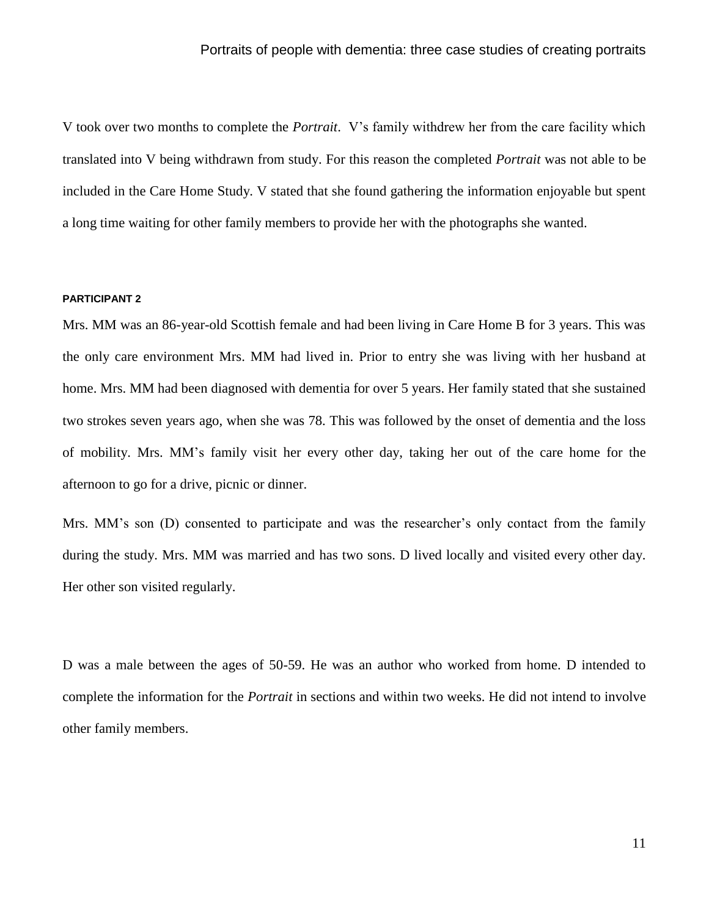V took over two months to complete the *Portrait*. V's family withdrew her from the care facility which translated into V being withdrawn from study. For this reason the completed *Portrait* was not able to be included in the Care Home Study. V stated that she found gathering the information enjoyable but spent a long time waiting for other family members to provide her with the photographs she wanted.

#### **PARTICIPANT 2**

Mrs. MM was an 86-year-old Scottish female and had been living in Care Home B for 3 years. This was the only care environment Mrs. MM had lived in. Prior to entry she was living with her husband at home. Mrs. MM had been diagnosed with dementia for over 5 years. Her family stated that she sustained two strokes seven years ago, when she was 78. This was followed by the onset of dementia and the loss of mobility. Mrs. MM's family visit her every other day, taking her out of the care home for the afternoon to go for a drive, picnic or dinner.

Mrs. MM's son (D) consented to participate and was the researcher's only contact from the family during the study. Mrs. MM was married and has two sons. D lived locally and visited every other day. Her other son visited regularly.

D was a male between the ages of 50-59. He was an author who worked from home. D intended to complete the information for the *Portrait* in sections and within two weeks. He did not intend to involve other family members.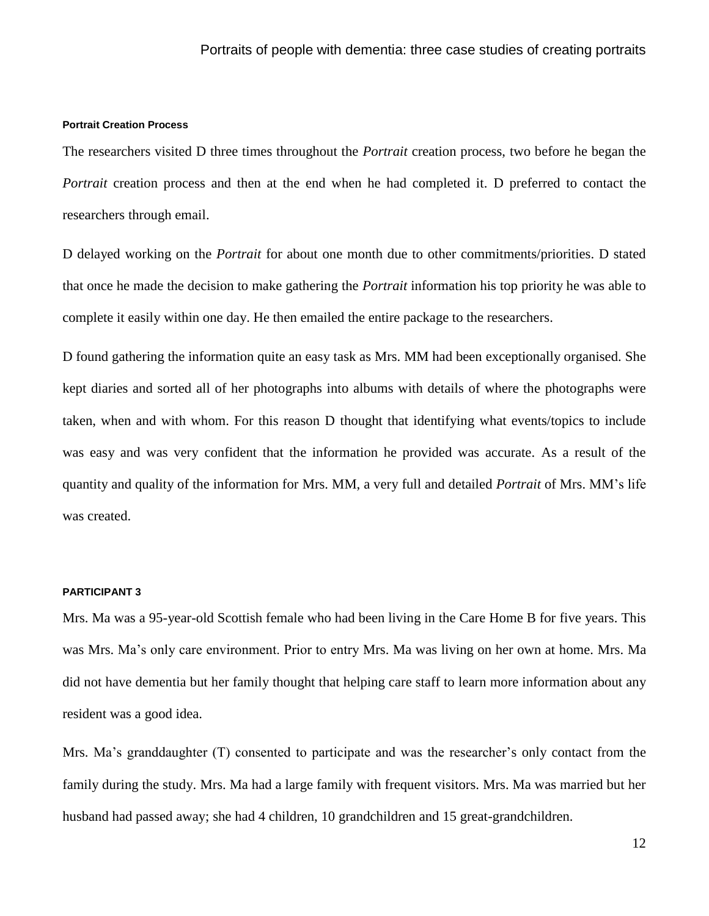#### **Portrait Creation Process**

The researchers visited D three times throughout the *Portrait* creation process, two before he began the *Portrait* creation process and then at the end when he had completed it. D preferred to contact the researchers through email.

D delayed working on the *Portrait* for about one month due to other commitments/priorities. D stated that once he made the decision to make gathering the *Portrait* information his top priority he was able to complete it easily within one day. He then emailed the entire package to the researchers.

D found gathering the information quite an easy task as Mrs. MM had been exceptionally organised. She kept diaries and sorted all of her photographs into albums with details of where the photographs were taken, when and with whom. For this reason D thought that identifying what events/topics to include was easy and was very confident that the information he provided was accurate. As a result of the quantity and quality of the information for Mrs. MM, a very full and detailed *Portrait* of Mrs. MM's life was created.

#### **PARTICIPANT 3**

Mrs. Ma was a 95-year-old Scottish female who had been living in the Care Home B for five years. This was Mrs. Ma's only care environment. Prior to entry Mrs. Ma was living on her own at home. Mrs. Ma did not have dementia but her family thought that helping care staff to learn more information about any resident was a good idea.

Mrs. Ma's granddaughter (T) consented to participate and was the researcher's only contact from the family during the study. Mrs. Ma had a large family with frequent visitors. Mrs. Ma was married but her husband had passed away; she had 4 children, 10 grandchildren and 15 great-grandchildren.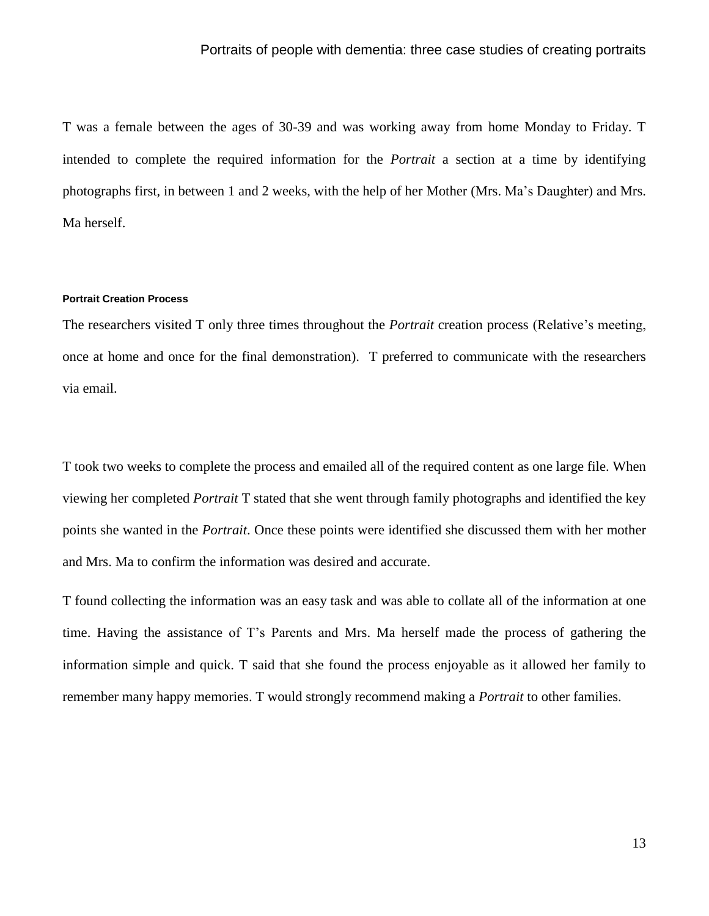T was a female between the ages of 30-39 and was working away from home Monday to Friday. T intended to complete the required information for the *Portrait* a section at a time by identifying photographs first, in between 1 and 2 weeks, with the help of her Mother (Mrs. Ma's Daughter) and Mrs. Ma herself.

#### **Portrait Creation Process**

The researchers visited T only three times throughout the *Portrait* creation process (Relative's meeting, once at home and once for the final demonstration). T preferred to communicate with the researchers via email.

T took two weeks to complete the process and emailed all of the required content as one large file. When viewing her completed *Portrait* T stated that she went through family photographs and identified the key points she wanted in the *Portrait*. Once these points were identified she discussed them with her mother and Mrs. Ma to confirm the information was desired and accurate.

T found collecting the information was an easy task and was able to collate all of the information at one time. Having the assistance of T's Parents and Mrs. Ma herself made the process of gathering the information simple and quick. T said that she found the process enjoyable as it allowed her family to remember many happy memories. T would strongly recommend making a *Portrait* to other families.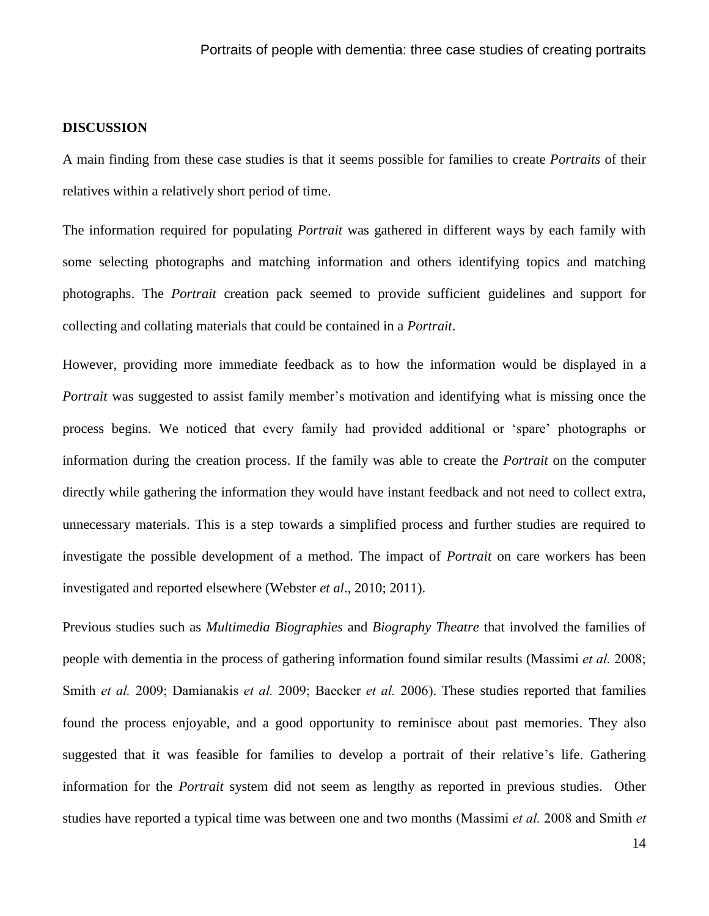# **DISCUSSION**

A main finding from these case studies is that it seems possible for families to create *Portraits* of their relatives within a relatively short period of time.

The information required for populating *Portrait* was gathered in different ways by each family with some selecting photographs and matching information and others identifying topics and matching photographs. The *Portrait* creation pack seemed to provide sufficient guidelines and support for collecting and collating materials that could be contained in a *Portrait*.

However, providing more immediate feedback as to how the information would be displayed in a *Portrait* was suggested to assist family member's motivation and identifying what is missing once the process begins. We noticed that every family had provided additional or 'spare' photographs or information during the creation process. If the family was able to create the *Portrait* on the computer directly while gathering the information they would have instant feedback and not need to collect extra, unnecessary materials. This is a step towards a simplified process and further studies are required to investigate the possible development of a method. The impact of *Portrait* on care workers has been investigated and reported elsewhere (Webster *et al*., 2010; 2011).

Previous studies such as *Multimedia Biographies* and *Biography Theatre* that involved the families of people with dementia in the process of gathering information found similar results (Massimi *et al.* 2008; Smith *et al.* 2009; Damianakis *et al.* 2009; Baecker *et al.* 2006). These studies reported that families found the process enjoyable, and a good opportunity to reminisce about past memories. They also suggested that it was feasible for families to develop a portrait of their relative's life. Gathering information for the *Portrait* system did not seem as lengthy as reported in previous studies. Other studies have reported a typical time was between one and two months (Massimi *et al.* 2008 and Smith *et*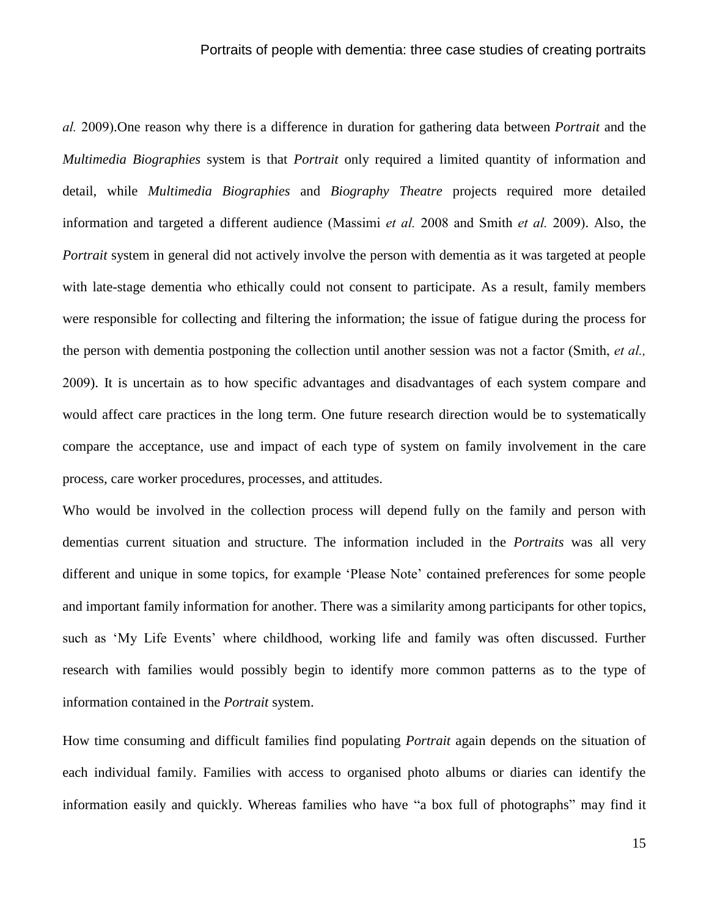*al.* 2009).One reason why there is a difference in duration for gathering data between *Portrait* and the *Multimedia Biographies* system is that *Portrait* only required a limited quantity of information and detail, while *Multimedia Biographies* and *Biography Theatre* projects required more detailed information and targeted a different audience (Massimi *et al.* 2008 and Smith *et al.* 2009). Also, the *Portrait* system in general did not actively involve the person with dementia as it was targeted at people with late-stage dementia who ethically could not consent to participate. As a result, family members were responsible for collecting and filtering the information; the issue of fatigue during the process for the person with dementia postponing the collection until another session was not a factor (Smith, *et al.,* 2009). It is uncertain as to how specific advantages and disadvantages of each system compare and would affect care practices in the long term. One future research direction would be to systematically compare the acceptance, use and impact of each type of system on family involvement in the care process, care worker procedures, processes, and attitudes.

Who would be involved in the collection process will depend fully on the family and person with dementias current situation and structure. The information included in the *Portraits* was all very different and unique in some topics, for example 'Please Note' contained preferences for some people and important family information for another. There was a similarity among participants for other topics, such as 'My Life Events' where childhood, working life and family was often discussed. Further research with families would possibly begin to identify more common patterns as to the type of information contained in the *Portrait* system.

How time consuming and difficult families find populating *Portrait* again depends on the situation of each individual family. Families with access to organised photo albums or diaries can identify the information easily and quickly. Whereas families who have "a box full of photographs" may find it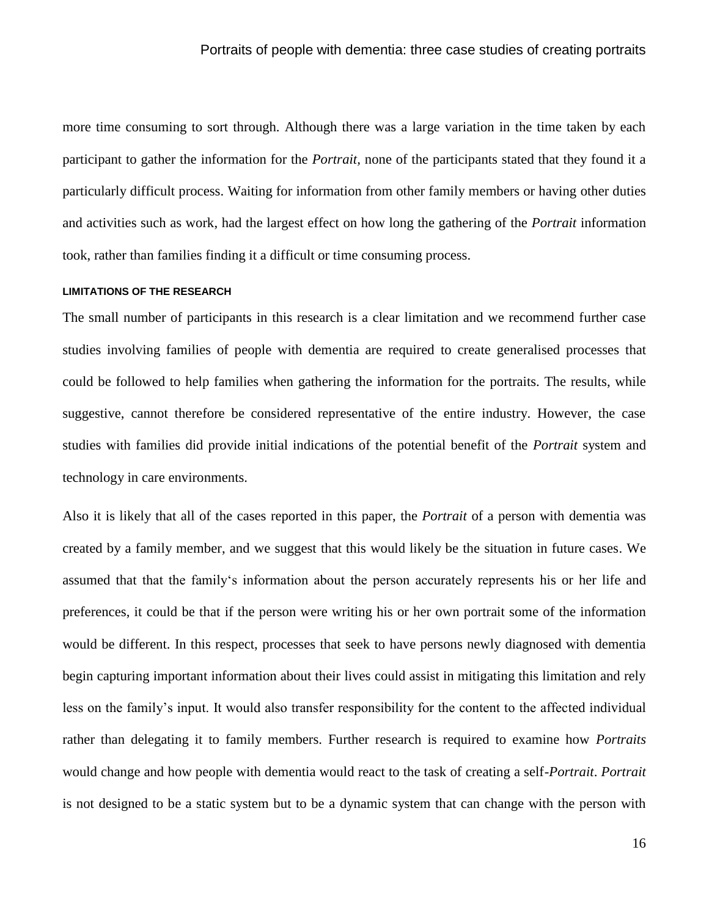more time consuming to sort through. Although there was a large variation in the time taken by each participant to gather the information for the *Portrait,* none of the participants stated that they found it a particularly difficult process. Waiting for information from other family members or having other duties and activities such as work, had the largest effect on how long the gathering of the *Portrait* information took, rather than families finding it a difficult or time consuming process.

#### **LIMITATIONS OF THE RESEARCH**

The small number of participants in this research is a clear limitation and we recommend further case studies involving families of people with dementia are required to create generalised processes that could be followed to help families when gathering the information for the portraits. The results, while suggestive, cannot therefore be considered representative of the entire industry. However, the case studies with families did provide initial indications of the potential benefit of the *Portrait* system and technology in care environments.

Also it is likely that all of the cases reported in this paper, the *Portrait* of a person with dementia was created by a family member, and we suggest that this would likely be the situation in future cases. We assumed that that the family's information about the person accurately represents his or her life and preferences, it could be that if the person were writing his or her own portrait some of the information would be different. In this respect, processes that seek to have persons newly diagnosed with dementia begin capturing important information about their lives could assist in mitigating this limitation and rely less on the family's input. It would also transfer responsibility for the content to the affected individual rather than delegating it to family members. Further research is required to examine how *Portraits* would change and how people with dementia would react to the task of creating a self-*Portrait*. *Portrait*  is not designed to be a static system but to be a dynamic system that can change with the person with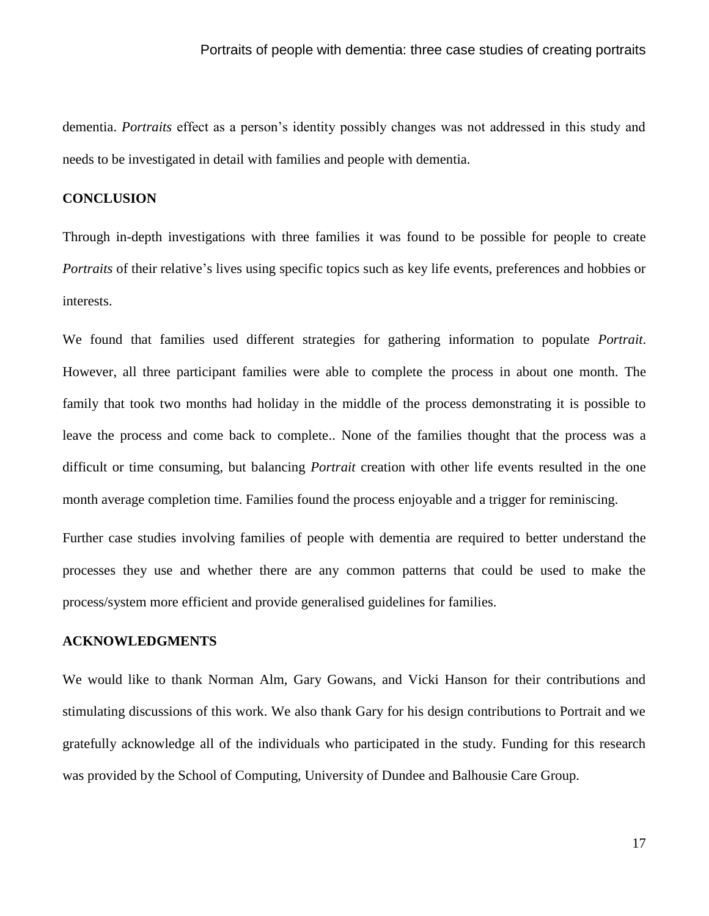dementia. *Portraits* effect as a person's identity possibly changes was not addressed in this study and needs to be investigated in detail with families and people with dementia.

# **CONCLUSION**

Through in-depth investigations with three families it was found to be possible for people to create *Portraits* of their relative's lives using specific topics such as key life events, preferences and hobbies or interests.

We found that families used different strategies for gathering information to populate *Portrait*. However, all three participant families were able to complete the process in about one month. The family that took two months had holiday in the middle of the process demonstrating it is possible to leave the process and come back to complete.. None of the families thought that the process was a difficult or time consuming, but balancing *Portrait* creation with other life events resulted in the one month average completion time. Families found the process enjoyable and a trigger for reminiscing.

Further case studies involving families of people with dementia are required to better understand the processes they use and whether there are any common patterns that could be used to make the process/system more efficient and provide generalised guidelines for families.

#### **ACKNOWLEDGMENTS**

We would like to thank Norman Alm, Gary Gowans, and Vicki Hanson for their contributions and stimulating discussions of this work. We also thank Gary for his design contributions to Portrait and we gratefully acknowledge all of the individuals who participated in the study. Funding for this research was provided by the School of Computing, University of Dundee and Balhousie Care Group.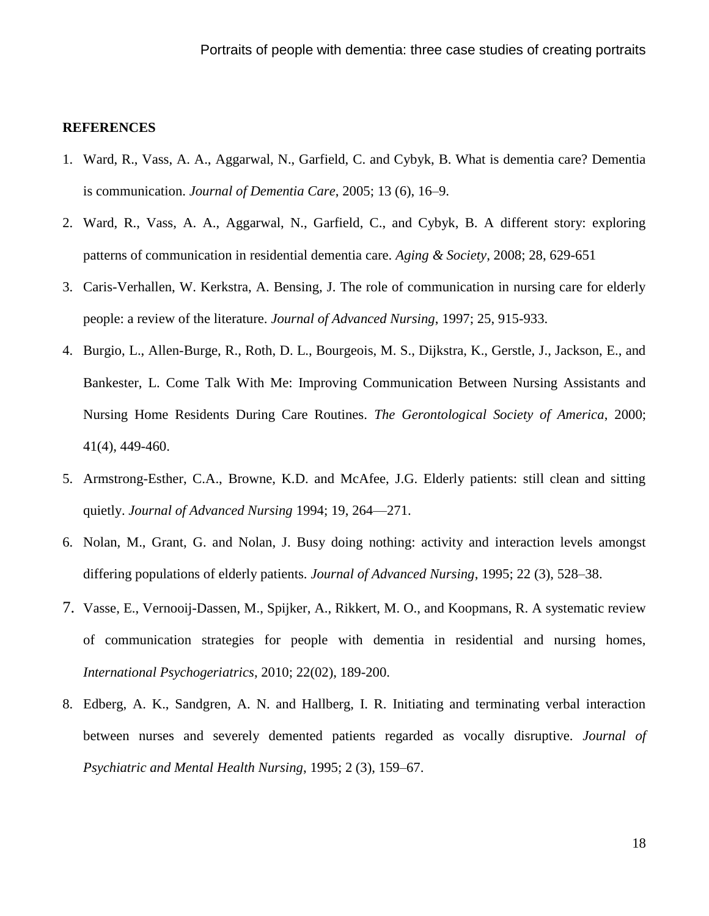# **REFERENCES**

- 1. Ward, R., Vass, A. A., Aggarwal, N., Garfield, C. and Cybyk, B. What is dementia care? Dementia is communication. *Journal of Dementia Care*, 2005; 13 (6), 16–9.
- 2. Ward, R., Vass, A. A., Aggarwal, N., Garfield, C., and Cybyk, B. A different story: exploring patterns of communication in residential dementia care. *Aging & Society*, 2008; 28, 629-651
- 3. Caris-Verhallen, W. Kerkstra, A. Bensing, J. The role of communication in nursing care for elderly people: a review of the literature. *Journal of Advanced Nursing*, 1997; 25, 915-933.
- 4. Burgio, L., Allen-Burge, R., Roth, D. L., Bourgeois, M. S., Dijkstra, K., Gerstle, J., Jackson, E., and Bankester, L. Come Talk With Me: Improving Communication Between Nursing Assistants and Nursing Home Residents During Care Routines. *The Gerontological Society of America*, 2000; 41(4), 449-460.
- 5. Armstrong-Esther, C.A., Browne, K.D. and McAfee, J.G. Elderly patients: still clean and sitting quietly. *Journal of Advanced Nursing* 1994; 19, 264—271.
- 6. Nolan, M., Grant, G. and Nolan, J. Busy doing nothing: activity and interaction levels amongst differing populations of elderly patients. *Journal of Advanced Nursing*, 1995; 22 (3), 528–38.
- 7. Vasse, E., Vernooij-Dassen, M., Spijker, A., Rikkert, M. O., and Koopmans, R. A systematic review of communication strategies for people with dementia in residential and nursing homes, *International Psychogeriatrics*, 2010; 22(02), 189-200.
- 8. Edberg, A. K., Sandgren, A. N. and Hallberg, I. R. Initiating and terminating verbal interaction between nurses and severely demented patients regarded as vocally disruptive. *Journal of Psychiatric and Mental Health Nursing*, 1995; 2 (3), 159–67.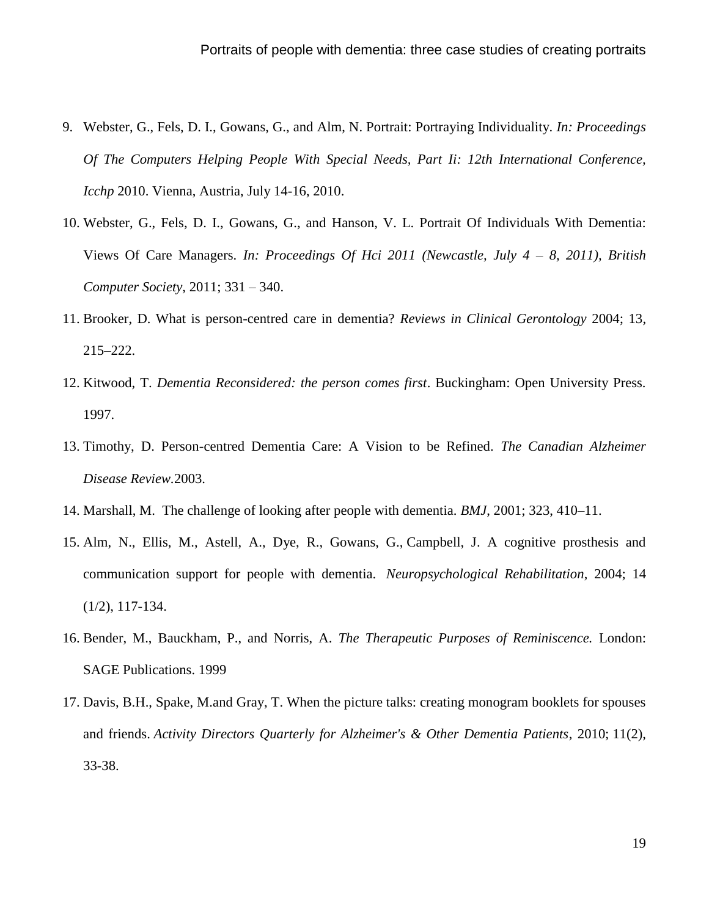- 9. Webster, G., Fels, D. I., Gowans, G., and Alm, N. Portrait: Portraying Individuality. *In: Proceedings Of The Computers Helping People With Special Needs, Part Ii: 12th International Conference, Icchp* 2010. Vienna, Austria, July 14-16, 2010.
- 10. Webster, G., Fels, D. I., Gowans, G., and Hanson, V. L. Portrait Of Individuals With Dementia: Views Of Care Managers. *In: Proceedings Of Hci 2011 (Newcastle, July 4 – 8, 2011), British Computer Society*, 2011; 331 – 340.
- 11. Brooker, D. What is person-centred care in dementia? *Reviews in Clinical Gerontology* 2004; 13, 215–222.
- 12. Kitwood, T. *Dementia Reconsidered: the person comes first*. Buckingham: Open University Press. 1997.
- 13. Timothy, D. Person-centred Dementia Care: A Vision to be Refined. *The Canadian Alzheimer Disease Review.*2003.
- 14. Marshall, M. The challenge of looking after people with dementia. *BMJ*, 2001; 323, 410–11.
- 15. Alm, N., Ellis, M., Astell, A., Dye, R., Gowans, G., Campbell, J. A cognitive prosthesis and communication support for people with dementia. *Neuropsychological Rehabilitation*, 2004; 14 (1/2), 117-134.
- 16. Bender, M., Bauckham, P., and Norris, A. *The Therapeutic Purposes of Reminiscence.* London: SAGE Publications. 1999
- 17. Davis, B.H., Spake, M.and Gray, T. When the picture talks: creating monogram booklets for spouses and friends. *Activity Directors Quarterly for Alzheimer's & Other Dementia Patients*, 2010; 11(2), 33-38.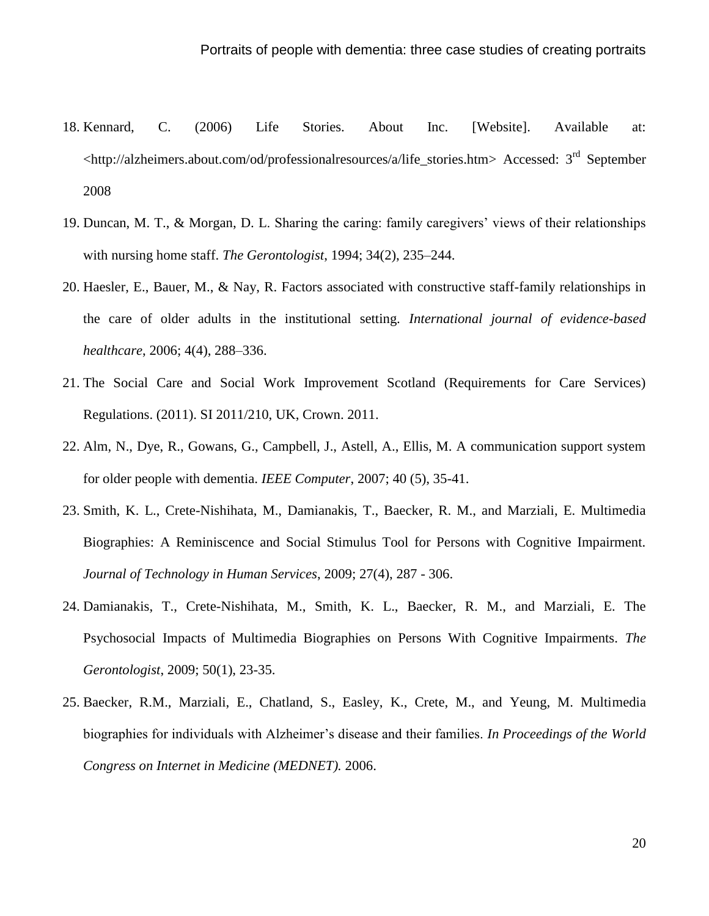- 18. Kennard, C. (2006) Life Stories. About Inc. [Website]. Available at: [<http://alzheimers.about.com/od/professionalresources/a/life\\_stories.htm>](http://alzheimers.about.com/od/professionalresources/a/life_stories.htm) Accessed: 3rd September 2008
- 19. Duncan, M. T., & Morgan, D. L. Sharing the caring: family caregivers' views of their relationships with nursing home staff. *The Gerontologist*, 1994; 34(2), 235–244.
- 20. Haesler, E., Bauer, M., & Nay, R. Factors associated with constructive staff-family relationships in the care of older adults in the institutional setting. *International journal of evidence-based healthcare*, 2006; 4(4), 288–336.
- 21. The Social Care and Social Work Improvement Scotland (Requirements for Care Services) Regulations. (2011). SI 2011/210, UK, Crown. 2011.
- 22. Alm, N., Dye, R., Gowans, G., Campbell, J., Astell, A., Ellis, M. A communication support system for older people with dementia. *IEEE Computer*, 2007; 40 (5), 35-41.
- 23. Smith, K. L., Crete-Nishihata, M., Damianakis, T., Baecker, R. M., and Marziali, E. Multimedia Biographies: A Reminiscence and Social Stimulus Tool for Persons with Cognitive Impairment. *Journal of Technology in Human Services*, 2009; 27(4), 287 - 306.
- 24. Damianakis, T., Crete-Nishihata, M., Smith, K. L., Baecker, R. M., and Marziali, E. The Psychosocial Impacts of Multimedia Biographies on Persons With Cognitive Impairments. *The Gerontologist*, 2009; 50(1), 23-35.
- 25. Baecker, R.M., Marziali, E., Chatland, S., Easley, K., Crete, M., and Yeung, M. Multimedia biographies for individuals with Alzheimer's disease and their families. *In Proceedings of the World Congress on Internet in Medicine (MEDNET).* 2006.